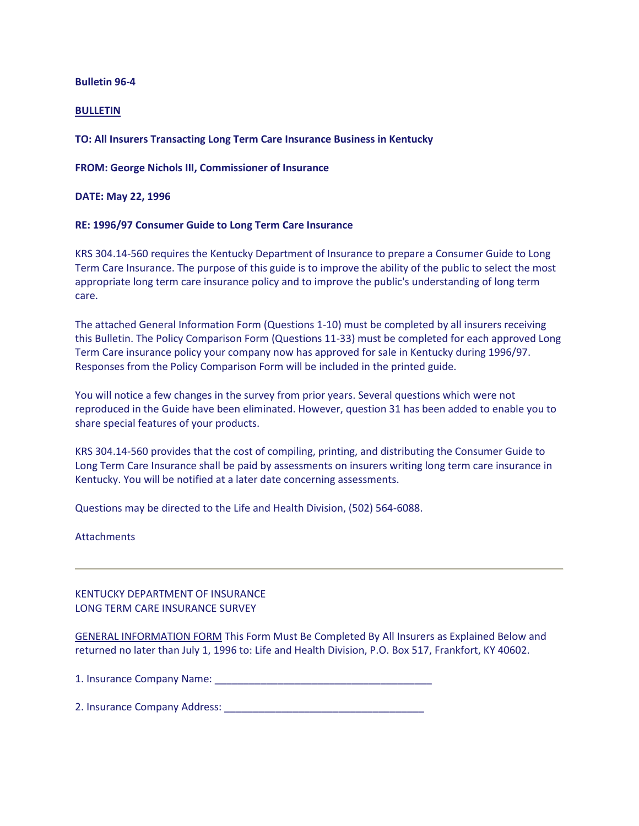## **Bulletin 96-4**

## **BULLETIN**

# **TO: All Insurers Transacting Long Term Care Insurance Business in Kentucky**

**FROM: George Nichols III, Commissioner of Insurance**

**DATE: May 22, 1996**

## **RE: 1996/97 Consumer Guide to Long Term Care Insurance**

KRS 304.14-560 requires the Kentucky Department of Insurance to prepare a Consumer Guide to Long Term Care Insurance. The purpose of this guide is to improve the ability of the public to select the most appropriate long term care insurance policy and to improve the public's understanding of long term care.

The attached General Information Form (Questions 1-10) must be completed by all insurers receiving this Bulletin. The Policy Comparison Form (Questions 11-33) must be completed for each approved Long Term Care insurance policy your company now has approved for sale in Kentucky during 1996/97. Responses from the Policy Comparison Form will be included in the printed guide.

You will notice a few changes in the survey from prior years. Several questions which were not reproduced in the Guide have been eliminated. However, question 31 has been added to enable you to share special features of your products.

KRS 304.14-560 provides that the cost of compiling, printing, and distributing the Consumer Guide to Long Term Care Insurance shall be paid by assessments on insurers writing long term care insurance in Kentucky. You will be notified at a later date concerning assessments.

Questions may be directed to the Life and Health Division, (502) 564-6088.

**Attachments** 

# KENTUCKY DEPARTMENT OF INSURANCE LONG TERM CARE INSURANCE SURVEY

GENERAL INFORMATION FORM This Form Must Be Completed By All Insurers as Explained Below and returned no later than July 1, 1996 to: Life and Health Division, P.O. Box 517, Frankfort, KY 40602.

1. Insurance Company Name:

2. Insurance Company Address: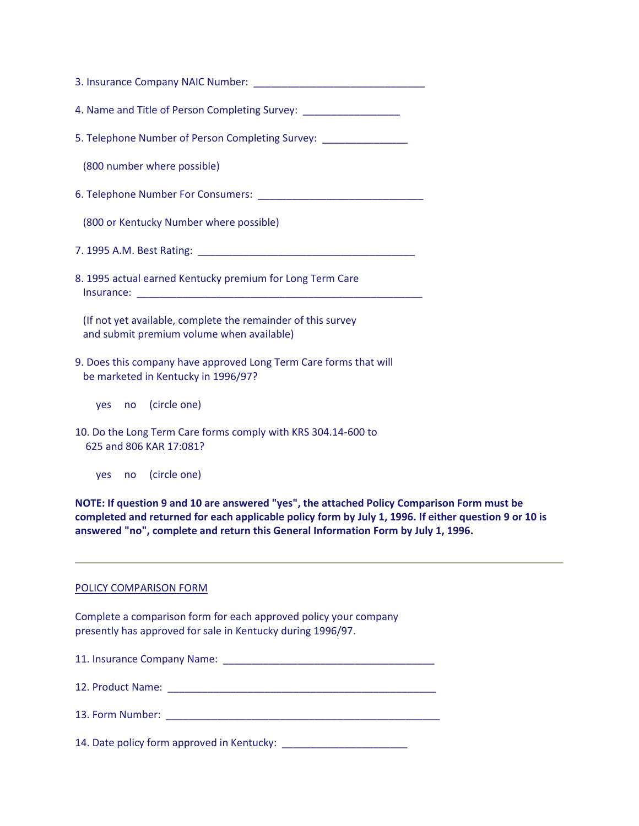| 4. Name and Title of Person Completing Survey: _________________________________                          |  |  |  |  |  |  |
|-----------------------------------------------------------------------------------------------------------|--|--|--|--|--|--|
| 5. Telephone Number of Person Completing Survey: ________________                                         |  |  |  |  |  |  |
| (800 number where possible)                                                                               |  |  |  |  |  |  |
|                                                                                                           |  |  |  |  |  |  |
| (800 or Kentucky Number where possible)                                                                   |  |  |  |  |  |  |
|                                                                                                           |  |  |  |  |  |  |
| 8. 1995 actual earned Kentucky premium for Long Term Care                                                 |  |  |  |  |  |  |
| (If not yet available, complete the remainder of this survey<br>and submit premium volume when available) |  |  |  |  |  |  |
| 9. Does this company have approved Long Term Care forms that will<br>be marketed in Kentucky in 1996/97?  |  |  |  |  |  |  |
| yes no (circle one)                                                                                       |  |  |  |  |  |  |
| 10. Do the Long Term Care forms comply with KRS 304.14-600 to<br>625 and 806 KAR 17:081?                  |  |  |  |  |  |  |
| yes no (circle one)                                                                                       |  |  |  |  |  |  |

**NOTE: If question 9 and 10 are answered "yes", the attached Policy Comparison Form must be completed and returned for each applicable policy form by July 1, 1996. If either question 9 or 10 is answered "no", complete and return this General Information Form by July 1, 1996.**

#### POLICY COMPARISON FORM

Complete a comparison form for each approved policy your company presently has approved for sale in Kentucky during 1996/97.

| 11. Insurance Company Name:                                                                                                                                                                                                   |
|-------------------------------------------------------------------------------------------------------------------------------------------------------------------------------------------------------------------------------|
|                                                                                                                                                                                                                               |
| 13. Form Number: The contract of the contract of the contract of the contract of the contract of the contract of the contract of the contract of the contract of the contract of the contract of the contract of the contract |
| 14. Date policy form approved in Kentucky:                                                                                                                                                                                    |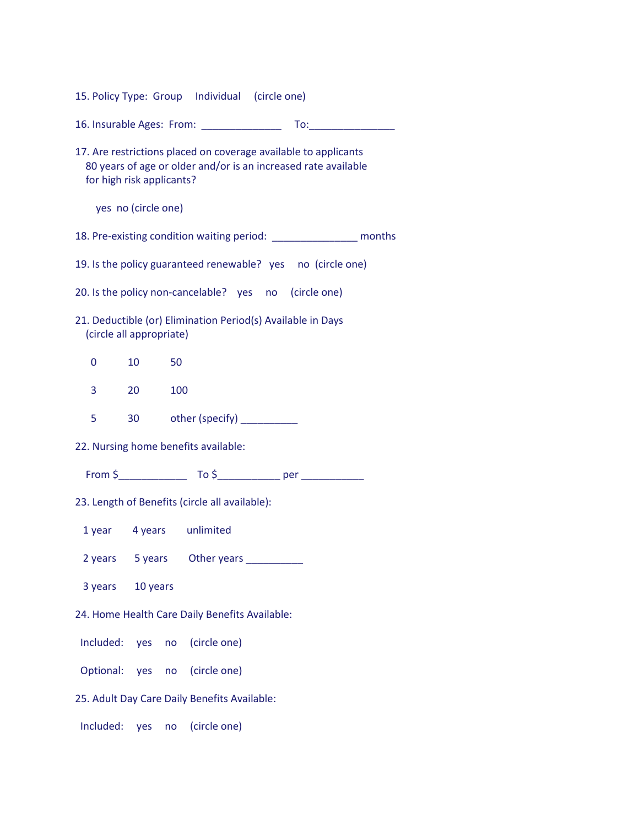15. Policy Type: Group Individual (circle one)

16. Insurable Ages: From: \_\_\_\_\_\_\_\_\_\_\_\_\_\_ To:\_\_\_\_\_\_\_\_\_\_\_\_\_\_\_

17. Are restrictions placed on coverage available to applicants 80 years of age or older and/or is an increased rate available for high risk applicants?

yes no (circle one)

18. Pre-existing condition waiting period: \_\_\_\_\_\_\_\_\_\_\_\_\_\_\_ months

19. Is the policy guaranteed renewable? yes no (circle one)

20. Is the policy non-cancelable? yes no (circle one)

- 21. Deductible (or) Elimination Period(s) Available in Days (circle all appropriate)
	- 0 10 50
	- 3 20 100
	- 5 30 other (specify) \_\_\_\_\_\_\_\_\_

22. Nursing home benefits available:

From \$\_\_\_\_\_\_\_\_\_\_\_\_ To \$\_\_\_\_\_\_\_\_\_\_\_ per \_\_\_\_\_\_\_\_\_\_\_

23. Length of Benefits (circle all available):

1 year 4 years unlimited

2 years 5 years Other years 1

3 years 10 years

24. Home Health Care Daily Benefits Available:

Included: yes no (circle one)

Optional: yes no (circle one)

25. Adult Day Care Daily Benefits Available:

Included: yes no (circle one)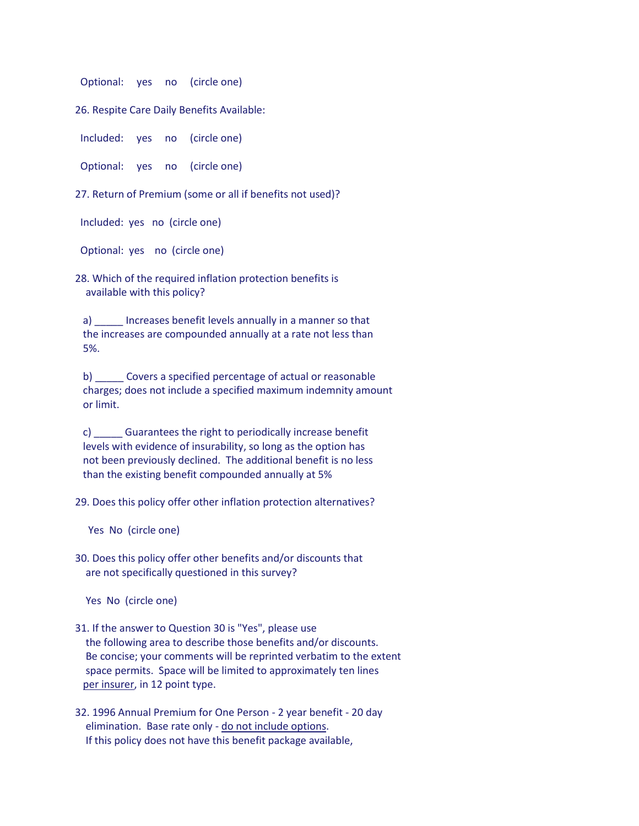Optional: yes no (circle one)

26. Respite Care Daily Benefits Available:

Included: yes no (circle one)

Optional: yes no (circle one)

27. Return of Premium (some or all if benefits not used)?

Included: yes no (circle one)

Optional: yes no (circle one)

28. Which of the required inflation protection benefits is available with this policy?

 a) \_\_\_\_\_ Increases benefit levels annually in a manner so that the increases are compounded annually at a rate not less than 5%.

 b) \_\_\_\_\_ Covers a specified percentage of actual or reasonable charges; does not include a specified maximum indemnity amount or limit.

 c) \_\_\_\_\_ Guarantees the right to periodically increase benefit levels with evidence of insurability, so long as the option has not been previously declined. The additional benefit is no less than the existing benefit compounded annually at 5%

29. Does this policy offer other inflation protection alternatives?

Yes No (circle one)

30. Does this policy offer other benefits and/or discounts that are not specifically questioned in this survey?

Yes No (circle one)

- 31. If the answer to Question 30 is "Yes", please use the following area to describe those benefits and/or discounts. Be concise; your comments will be reprinted verbatim to the extent space permits. Space will be limited to approximately ten lines per insurer, in 12 point type.
- 32. 1996 Annual Premium for One Person 2 year benefit 20 day elimination. Base rate only - do not include options. If this policy does not have this benefit package available,